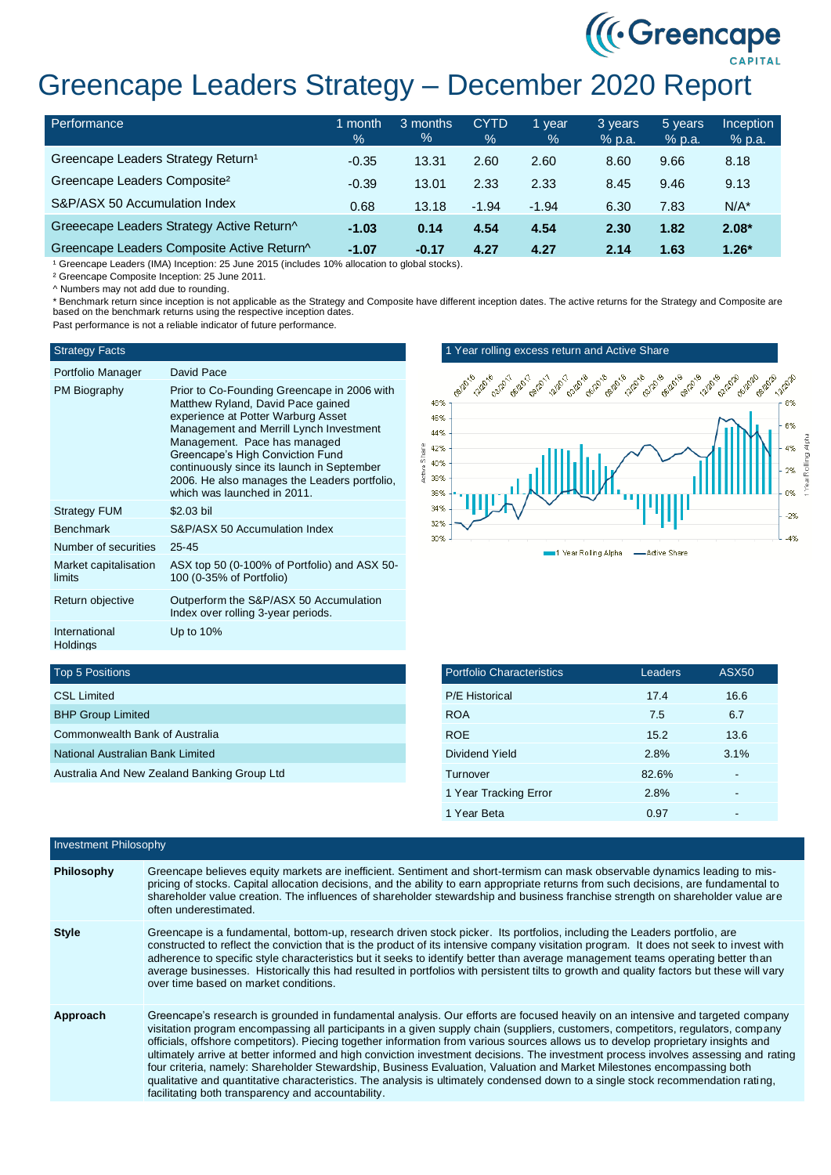# ((Creencape) Greencape Leaders Strategy – December 2020 Report

| Performance                                    | month<br>$\frac{1}{2}$ | 3 months<br>% | <b>CYTD</b><br>$\%$ | 1 year<br>$\%$ | 3 years<br>$%$ p.a. | 5 years<br>% p.a. | <b>Inception</b><br>$%$ p.a. |
|------------------------------------------------|------------------------|---------------|---------------------|----------------|---------------------|-------------------|------------------------------|
| Greencape Leaders Strategy Return <sup>1</sup> | $-0.35$                | 13.31         | 2.60                | 2.60           | 8.60                | 9.66              | 8.18                         |
| Greencape Leaders Composite <sup>2</sup>       | $-0.39$                | 13.01         | 2.33                | 2.33           | 8.45                | 9.46              | 9.13                         |
| S&P/ASX 50 Accumulation Index                  | 0.68                   | 13.18         | $-1.94$             | $-1.94$        | 6.30                | 7.83              | $N/A^*$                      |
| Greeecape Leaders Strategy Active Return^      | $-1.03$                | 0.14          | 4.54                | 4.54           | 2.30                | 1.82              | $2.08*$                      |
| Greencape Leaders Composite Active Return^     | $-1.07$                | $-0.17$       | 4.27                | 4.27           | 2.14                | 1.63              | $1.26*$                      |

<sup>1</sup> Greencape Leaders (IMA) Inception: 25 June 2015 (includes 10% allocation to global stocks).

² Greencape Composite Inception: 25 June 2011.

^ Numbers may not add due to rounding.

\* Benchmark return since inception is not applicable as the Strategy and Composite have different inception dates. The active returns for the Strategy and Composite are based on the benchmark returns using the respective inception dates. Past performance is not a reliable indicator of future performance.

## Strategy Facts

| Portfolio Manager                | David Pace                                                                                                                                                                                                                                                                                                                                                         |
|----------------------------------|--------------------------------------------------------------------------------------------------------------------------------------------------------------------------------------------------------------------------------------------------------------------------------------------------------------------------------------------------------------------|
| PM Biography                     | Prior to Co-Founding Greencape in 2006 with<br>Matthew Ryland, David Pace gained<br>experience at Potter Warburg Asset<br>Management and Merrill Lynch Investment<br>Management. Pace has managed<br>Greencape's High Conviction Fund<br>continuously since its launch in September<br>2006. He also manages the Leaders portfolio.<br>which was launched in 2011. |
| <b>Strategy FUM</b>              | \$2.03 bil                                                                                                                                                                                                                                                                                                                                                         |
| <b>Benchmark</b>                 | S&P/ASX 50 Accumulation Index                                                                                                                                                                                                                                                                                                                                      |
| Number of securities             | $25 - 45$                                                                                                                                                                                                                                                                                                                                                          |
| Market capitalisation<br>limits  | ASX top 50 (0-100% of Portfolio) and ASX 50-<br>100 (0-35% of Portfolio)                                                                                                                                                                                                                                                                                           |
| Return objective                 | Outperform the S&P/ASX 50 Accumulation<br>Index over rolling 3-year periods.                                                                                                                                                                                                                                                                                       |
| International<br><b>Holdings</b> | Up to $10\%$                                                                                                                                                                                                                                                                                                                                                       |

## 1 Year rolling excess return and Active Share



## Top 5 Positions

| <b>CSL Limited</b>                          |  |
|---------------------------------------------|--|
| <b>BHP Group Limited</b>                    |  |
| Commonwealth Bank of Australia              |  |
| National Australian Bank Limited            |  |
| Australia And New Zealand Banking Group Ltd |  |

| <b>Portfolio Characteristics</b> | Leaders | ASX <sub>50</sub> |
|----------------------------------|---------|-------------------|
| <b>P/E Historical</b>            | 17.4    | 16.6              |
| <b>ROA</b>                       | 7.5     | 6.7               |
| <b>ROE</b>                       | 15.2    | 13.6              |
| Dividend Yield                   | 2.8%    | 3.1%              |
| Turnover                         | 82.6%   |                   |
| 1 Year Tracking Error            | 2.8%    |                   |
| 1 Year Beta                      | 0.97    |                   |

| Investment Philosophy |                                                                                                                                                                                                                                                                                                                                                                                                                                                                                                                                                                                                                                                                                                                                                                                                                                                                    |
|-----------------------|--------------------------------------------------------------------------------------------------------------------------------------------------------------------------------------------------------------------------------------------------------------------------------------------------------------------------------------------------------------------------------------------------------------------------------------------------------------------------------------------------------------------------------------------------------------------------------------------------------------------------------------------------------------------------------------------------------------------------------------------------------------------------------------------------------------------------------------------------------------------|
| Philosophy            | Greencape believes equity markets are inefficient. Sentiment and short-termism can mask observable dynamics leading to mis-<br>pricing of stocks. Capital allocation decisions, and the ability to earn appropriate returns from such decisions, are fundamental to<br>shareholder value creation. The influences of shareholder stewardship and business franchise strength on shareholder value are<br>often underestimated.                                                                                                                                                                                                                                                                                                                                                                                                                                     |
| <b>Style</b>          | Greencape is a fundamental, bottom-up, research driven stock picker. Its portfolios, including the Leaders portfolio, are<br>constructed to reflect the conviction that is the product of its intensive company visitation program. It does not seek to invest with<br>adherence to specific style characteristics but it seeks to identify better than average management teams operating better than<br>average businesses. Historically this had resulted in portfolios with persistent tilts to growth and quality factors but these will vary<br>over time based on market conditions.                                                                                                                                                                                                                                                                        |
| Approach              | Greencape's research is grounded in fundamental analysis. Our efforts are focused heavily on an intensive and targeted company<br>visitation program encompassing all participants in a given supply chain (suppliers, customers, competitors, regulators, company<br>officials, offshore competitors). Piecing together information from various sources allows us to develop proprietary insights and<br>ultimately arrive at better informed and high conviction investment decisions. The investment process involves assessing and rating<br>four criteria, namely: Shareholder Stewardship, Business Evaluation, Valuation and Market Milestones encompassing both<br>qualitative and quantitative characteristics. The analysis is ultimately condensed down to a single stock recommendation rating,<br>facilitating both transparency and accountability. |